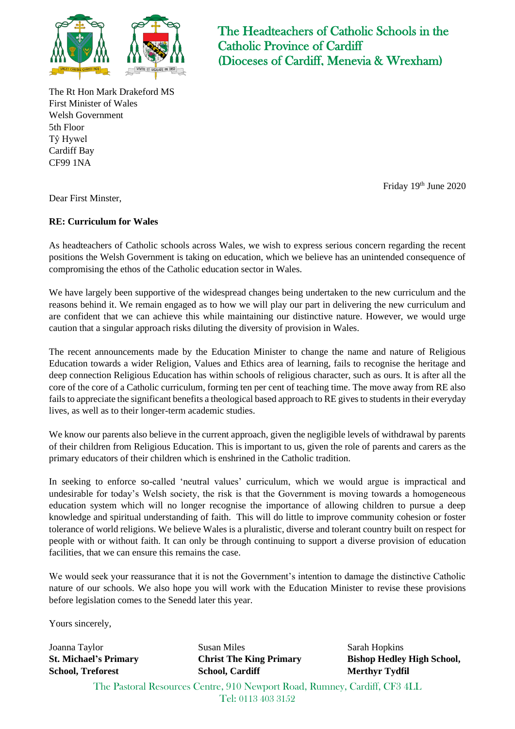

The Rt Hon Mark Drakeford MS First Minister of Wales Welsh Government 5th Floor Tŷ Hywel Cardiff Bay CF99 1NA

The Headteachers of Catholic Schools in the Catholic Province of Cardiff (Dioceses of Cardiff, Menevia & Wrexham)

Friday 19<sup>th</sup> June 2020

Dear First Minster,

## **RE: Curriculum for Wales**

As headteachers of Catholic schools across Wales, we wish to express serious concern regarding the recent positions the Welsh Government is taking on education, which we believe has an unintended consequence of compromising the ethos of the Catholic education sector in Wales.

We have largely been supportive of the widespread changes being undertaken to the new curriculum and the reasons behind it. We remain engaged as to how we will play our part in delivering the new curriculum and are confident that we can achieve this while maintaining our distinctive nature. However, we would urge caution that a singular approach risks diluting the diversity of provision in Wales.

The recent announcements made by the Education Minister to change the name and nature of Religious Education towards a wider Religion, Values and Ethics area of learning, fails to recognise the heritage and deep connection Religious Education has within schools of religious character, such as ours. It is after all the core of the core of a Catholic curriculum, forming ten per cent of teaching time. The move away from RE also fails to appreciate the significant benefits a theological based approach to RE gives to students in their everyday lives, as well as to their longer-term academic studies.

We know our parents also believe in the current approach, given the negligible levels of withdrawal by parents of their children from Religious Education. This is important to us, given the role of parents and carers as the primary educators of their children which is enshrined in the Catholic tradition.

In seeking to enforce so-called 'neutral values' curriculum, which we would argue is impractical and undesirable for today's Welsh society, the risk is that the Government is moving towards a homogeneous education system which will no longer recognise the importance of allowing children to pursue a deep knowledge and spiritual understanding of faith. This will do little to improve community cohesion or foster tolerance of world religions. We believe Wales is a pluralistic, diverse and tolerant country built on respect for people with or without faith. It can only be through continuing to support a diverse provision of education facilities, that we can ensure this remains the case.

We would seek your reassurance that it is not the Government's intention to damage the distinctive Catholic nature of our schools. We also hope you will work with the Education Minister to revise these provisions before legislation comes to the Senedd later this year.

Yours sincerely,

Joanna Taylor **St. Michael's Primary School, Treforest**

Susan Miles **Christ The King Primary School, Cardiff**

Sarah Hopkins **Bishop Hedley High School, Merthyr Tydfil**

The Pastoral Resources Centre, 910 Newport Road, Rumney, Cardiff, CF3 4LL Tel: 0113 403 3152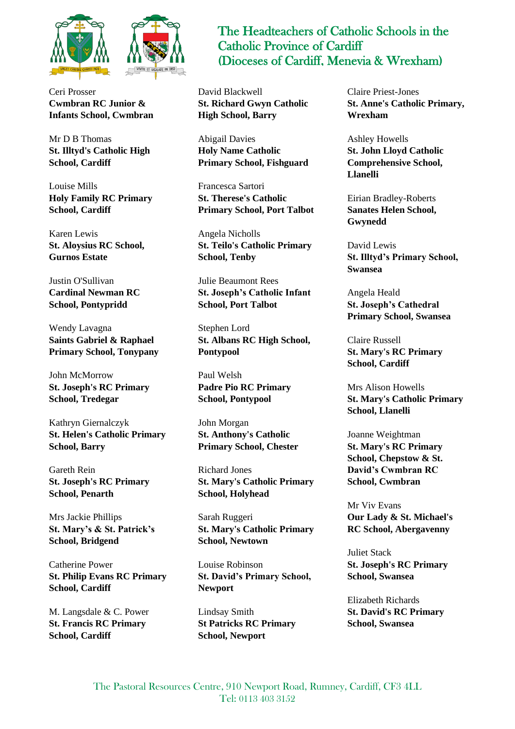

Ceri Prosser **Cwmbran RC Junior & Infants School, Cwmbran**

Mr D B Thomas **St. Illtyd's Catholic High School, Cardiff**

Louise Mills **Holy Family RC Primary School, Cardiff**

Karen Lewis **St. Aloysius RC School, Gurnos Estate**

Justin O'Sullivan **Cardinal Newman RC School, Pontypridd**

Wendy Lavagna **Saints Gabriel & Raphael Primary School, Tonypany**

John McMorrow **St. Joseph's RC Primary School, Tredegar**

Kathryn Giernalczyk **St. Helen's Catholic Primary School, Barry**

Gareth Rein **St. Joseph's RC Primary School, Penarth**

Mrs Jackie Phillips **St. Mary's & St. Patrick's School, Bridgend**

Catherine Power **St. Philip Evans RC Primary School, Cardiff**

M. Langsdale & C. Power **St. Francis RC Primary School, Cardiff**

## The Headteachers of Catholic Schools in the Catholic Province of Cardiff (Dioceses of Cardiff, Menevia & Wrexham)

David Blackwell **St. Richard Gwyn Catholic High School, Barry**

Abigail Davies **Holy Name Catholic Primary School, Fishguard**

Francesca Sartori **St. Therese's Catholic Primary School, Port Talbot**

Angela Nicholls **St. Teilo's Catholic Primary School, Tenby**

Julie Beaumont Rees **St. Joseph's Catholic Infant School, Port Talbot**

Stephen Lord **St. Albans RC High School, Pontypool**

Paul Welsh **Padre Pio RC Primary School, Pontypool**

John Morgan **St. Anthony's Catholic Primary School, Chester**

Richard Jones **St. Mary's Catholic Primary School, Holyhead**

Sarah Ruggeri **St. Mary's Catholic Primary School, Newtown**

Louise Robinson **St. David's Primary School, Newport**

Lindsay Smith **St Patricks RC Primary School, Newport**

Claire Priest-Jones **St. Anne's Catholic Primary, Wrexham**

Ashley Howells **St. John Lloyd Catholic Comprehensive School, Llanelli**

Eirian Bradley-Roberts **Sanates Helen School, Gwynedd**

David Lewis **St. Illtyd's Primary School, Swansea**

Angela Heald **St. Joseph's Cathedral Primary School, Swansea**

Claire Russell **St. Mary's RC Primary School, Cardiff**

Mrs Alison Howells **St. Mary's Catholic Primary School, Llanelli**

Joanne Weightman **St. Mary's RC Primary School, Chepstow & St. David's Cwmbran RC School, Cwmbran**

Mr Viv Evans **Our Lady & St. Michael's RC School, Abergavenny**

Juliet Stack **St. Joseph's RC Primary School, Swansea**

Elizabeth Richards **St. David's RC Primary School, Swansea**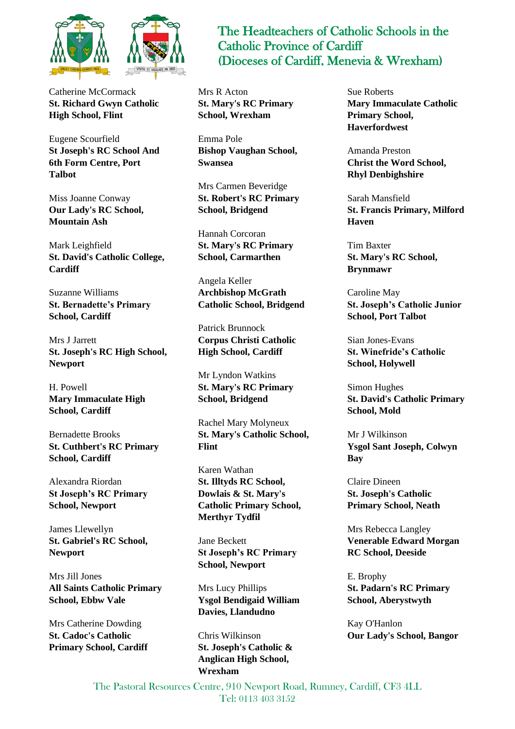

Catherine McCormack **St. Richard Gwyn Catholic High School, Flint**

Eugene Scourfield **St Joseph's RC School And 6th Form Centre, Port Talbot**

Miss Joanne Conway **Our Lady's RC School, Mountain Ash**

Mark Leighfield **St. David's Catholic College, Cardiff**

Suzanne Williams **St. Bernadette's Primary School, Cardiff**

Mrs J Jarrett **St. Joseph's RC High School, Newport**

H. Powell **Mary Immaculate High School, Cardiff**

Bernadette Brooks **St. Cuthbert's RC Primary School, Cardiff**

Alexandra Riordan **St Joseph's RC Primary School, Newport**

James Llewellyn **St. Gabriel's RC School, Newport**

Mrs Jill Jones **All Saints Catholic Primary School, Ebbw Vale**

Mrs Catherine Dowding **St. Cadoc's Catholic Primary School, Cardiff**

## The Headteachers of Catholic Schools in the Catholic Province of Cardiff (Dioceses of Cardiff, Menevia & Wrexham)

Mrs R Acton **St. Mary's RC Primary School, Wrexham**

Emma Pole **Bishop Vaughan School, Swansea**

Mrs Carmen Beveridge **St. Robert's RC Primary School, Bridgend**

Hannah Corcoran **St. Mary's RC Primary School, Carmarthen**

Angela Keller **Archbishop McGrath Catholic School, Bridgend**

Patrick Brunnock **Corpus Christi Catholic High School, Cardiff**

Mr Lyndon Watkins **St. Mary's RC Primary School, Bridgend**

Rachel Mary Molyneux **St. Mary's Catholic School, Flint**

Karen Wathan **St. Illtyds RC School, Dowlais & St. Mary's Catholic Primary School, Merthyr Tydfil**

Jane Beckett **St Joseph's RC Primary School, Newport**

Mrs Lucy Phillips **Ysgol Bendigaid William Davies, Llandudno**

Chris Wilkinson **St. Joseph's Catholic & Anglican High School, Wrexham**

Sue Roberts **Mary Immaculate Catholic Primary School, Haverfordwest**

Amanda Preston **Christ the Word School, Rhyl Denbighshire**

Sarah Mansfield **St. Francis Primary, Milford Haven**

Tim Baxter **St. Mary's RC School, Brynmawr**

Caroline May **St. Joseph's Catholic Junior School, Port Talbot**

Sian Jones-Evans **St. Winefride's Catholic School, Holywell**

Simon Hughes **St. David's Catholic Primary School, Mold**

Mr J Wilkinson **Ysgol Sant Joseph, Colwyn Bay**

Claire Dineen **St. Joseph's Catholic Primary School, Neath**

Mrs Rebecca Langley **Venerable Edward Morgan RC School, Deeside**

E. Brophy **St. Padarn's RC Primary School, Aberystwyth**

Kay O'Hanlon **Our Lady's School, Bangor**

The Pastoral Resources Centre, 910 Newport Road, Rumney, Cardiff, CF3 4LL Tel: 0113 403 3152